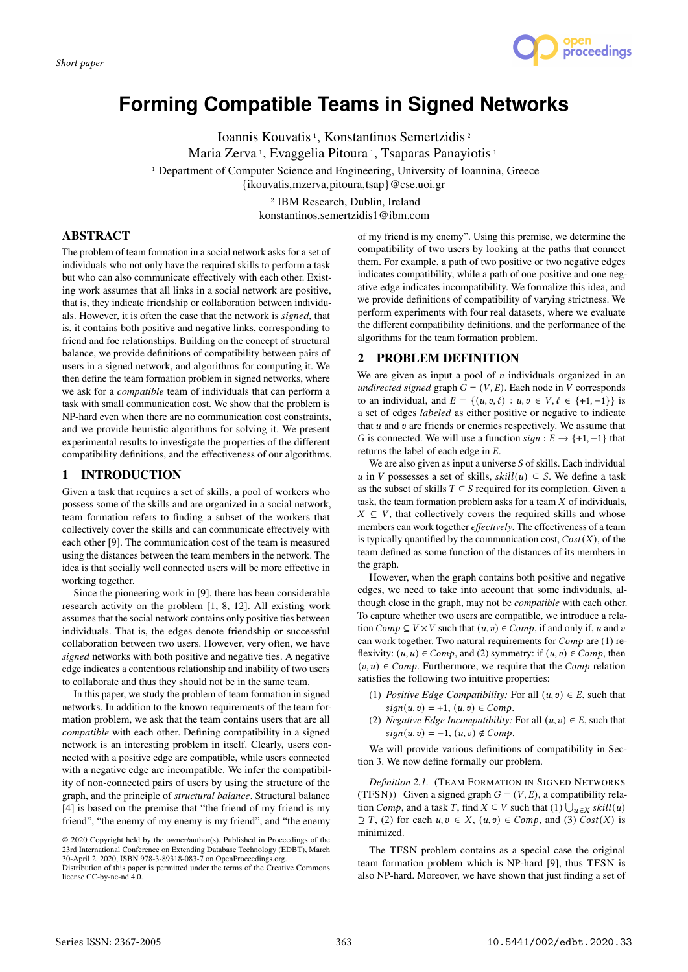

# **Forming Compatible Teams in Signed Networks**

Ioannis Kouvatis<sup>1</sup>, Konstantinos Semertzidis<sup>2</sup> Maria Zerva 1, Evaggelia Pitoura 1, Tsaparas Panayiotis 1 <sup>1</sup> Department of Computer Science and Engineering, University of Ioannina, Greece {ikouvatis,mzerva,pitoura,tsap}@cse.uoi.gr 2 IBM Research, Dublin, Ireland

konstantinos.semertzidis1@ibm.com

# ABSTRACT

The problem of team formation in a social network asks for a set of individuals who not only have the required skills to perform a task but who can also communicate effectively with each other. Existing work assumes that all links in a social network are positive, that is, they indicate friendship or collaboration between individuals. However, it is often the case that the network is *signed*, that is, it contains both positive and negative links, corresponding to friend and foe relationships. Building on the concept of structural balance, we provide definitions of compatibility between pairs of users in a signed network, and algorithms for computing it. We then define the team formation problem in signed networks, where we ask for a *compatible* team of individuals that can perform a task with small communication cost. We show that the problem is NP-hard even when there are no communication cost constraints, and we provide heuristic algorithms for solving it. We present experimental results to investigate the properties of the different compatibility definitions, and the effectiveness of our algorithms.

# 1 INTRODUCTION

Given a task that requires a set of skills, a pool of workers who possess some of the skills and are organized in a social network, team formation refers to finding a subset of the workers that collectively cover the skills and can communicate effectively with each other [9]. The communication cost of the team is measured using the distances between the team members in the network. The idea is that socially well connected users will be more effective in working together.

Since the pioneering work in [9], there has been considerable research activity on the problem [1, 8, 12]. All existing work assumes that the social network contains only positive ties between individuals. That is, the edges denote friendship or successful collaboration between two users. However, very often, we have *signed* networks with both positive and negative ties. A negative edge indicates a contentious relationship and inability of two users to collaborate and thus they should not be in the same team.

In this paper, we study the problem of team formation in signed networks. In addition to the known requirements of the team formation problem, we ask that the team contains users that are all *compatible* with each other. Defining compatibility in a signed network is an interesting problem in itself. Clearly, users connected with a positive edge are compatible, while users connected with a negative edge are incompatible. We infer the compatibility of non-connected pairs of users by using the structure of the graph, and the principle of *structural balance*. Structural balance [4] is based on the premise that "the friend of my friend is my friend", "the enemy of my enemy is my friend", and "the enemy

of my friend is my enemy". Using this premise, we determine the compatibility of two users by looking at the paths that connect them. For example, a path of two positive or two negative edges indicates compatibility, while a path of one positive and one negative edge indicates incompatibility. We formalize this idea, and we provide definitions of compatibility of varying strictness. We perform experiments with four real datasets, where we evaluate the different compatibility definitions, and the performance of the algorithms for the team formation problem.

# 2 PROBLEM DEFINITION

We are given as input a pool of  $n$  individuals organized in an *undirected signed* graph  $G = (V, E)$ . Each node in V corresponds to an individual, and  $E = \{(u, v, \ell) : u, v \in V, \ell \in \{+1, -1\}\}\$ is a set of edges *labeled* as either positive or negative to indicate that  $u$  and  $v$  are friends or enemies respectively. We assume that G is connected. We will use a function  $sign : E \rightarrow \{+1, -1\}$  that returns the label of each edge in  $E$ .

We are also given as input a universe  $S$  of skills. Each individual u in V possesses a set of skills,  $\text{skill}(u) \subseteq S$ . We define a task as the subset of skills  $T \subseteq S$  required for its completion. Given a task, the team formation problem asks for a team  $X$  of individuals,  $X \subseteq V$ , that collectively covers the required skills and whose members can work together *effectively*. The effectiveness of a team is typically quantified by the communication cost,  $Cost(X)$ , of the team defined as some function of the distances of its members in the graph.

However, when the graph contains both positive and negative edges, we need to take into account that some individuals, although close in the graph, may not be *compatible* with each other. To capture whether two users are compatible, we introduce a relation  $Comp \subseteq V \times V$  such that  $(u, v) \in Comp$ , if and only if, u and v can work together. Two natural requirements for  $Comp$  are (1) reflexivity:  $(u, u) \in Comp$ , and (2) symmetry: if  $(u, v) \in Comp$ , then  $(v, u) \in Comp$ . Furthermore, we require that the *Comp* relation satisfies the following two intuitive properties:

- (1) *Positive Edge Compatibility:* For all  $(u, v) \in E$ , such that  $sign(u, v) = +1, (u, v) \in Comp.$
- (2) *Negative Edge Incompatibility:* For all  $(u, v) \in E$ , such that  $sign(u, v) = -1, (u, v) \notin Comp.$

We will provide various definitions of compatibility in Section 3. We now define formally our problem.

*Definition 2.1.* (TEAM FORMATION IN SIGNED NETWORKS (TFSN)) Given a signed graph  $G = (V, E)$ , a compatibility relation *Comp*, and a task *T*, find *X*  $\subseteq$  *V* such that (1)  $\bigcup_{u \in X}$  skill(*u*)  $\supseteq T$ , (2) for each  $u, v \in X$ ,  $(u, v) \in Comp$ , and (3)  $Cost(X)$  is minimized.

The TFSN problem contains as a special case the original team formation problem which is NP-hard [9], thus TFSN is also NP-hard. Moreover, we have shown that just finding a set of

<sup>©</sup> 2020 Copyright held by the owner/author(s). Published in Proceedings of the 23rd International Conference on Extending Database Technology (EDBT), March 30-April 2, 2020, ISBN 978-3-89318-083-7 on OpenProceedings.org.

Distribution of this paper is permitted under the terms of the Creative Commons license CC-by-nc-nd 4.0.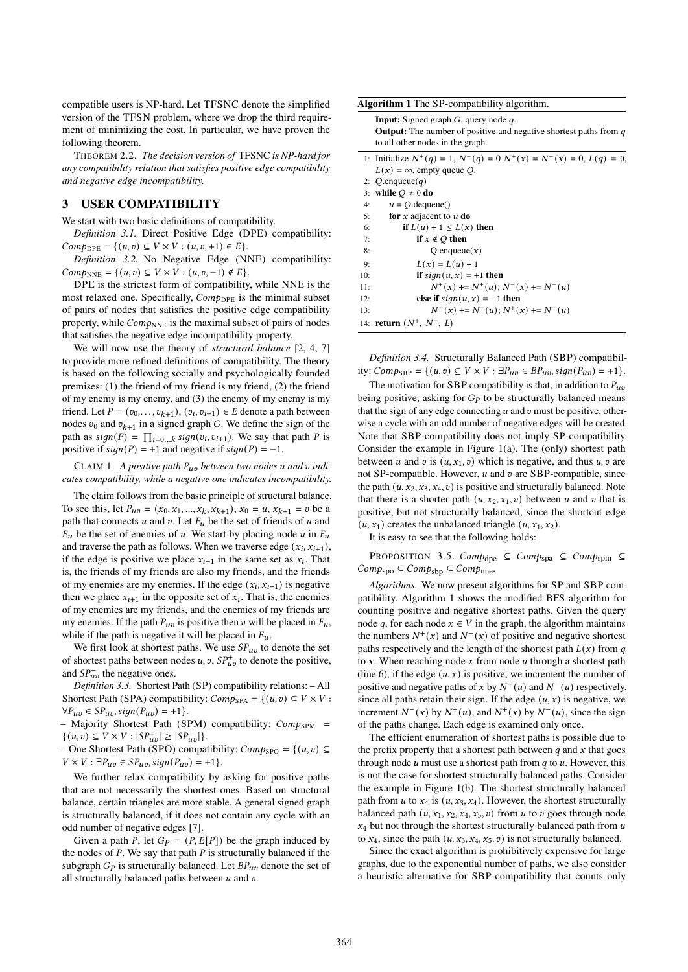compatible users is NP-hard. Let TFSNC denote the simplified version of the TFSN problem, where we drop the third requirement of minimizing the cost. In particular, we have proven the following theorem.

THEOREM 2.2. *The decision version of* TFSNC *is NP-hard for any compatibility relation that satisfies positive edge compatibility and negative edge incompatibility.*

## 3 USER COMPATIBILITY

We start with two basic definitions of compatibility.

*Definition 3.1.* Direct Positive Edge (DPE) compatibility:  $Comp_{DPE} = \{(u, v) \subseteq V \times V : (u, v, +1) \in E\}.$ 

*Definition 3.2.* No Negative Edge (NNE) compatibility:  $Comp_{NNE} = \{(u, v) \subseteq V \times V : (u, v, -1) \notin E\}.$ 

DPE is the strictest form of compatibility, while NNE is the most relaxed one. Specifically,  $Comp_{DPE}$  is the minimal subset of pairs of nodes that satisfies the positive edge compatibility property, while  $Comp_{NNE}$  is the maximal subset of pairs of nodes that satisfies the negative edge incompatibility property.

We will now use the theory of *structural balance* [2, 4, 7] to provide more refined definitions of compatibility. The theory is based on the following socially and psychologically founded premises: (1) the friend of my friend is my friend, (2) the friend of my enemy is my enemy, and (3) the enemy of my enemy is my friend. Let  $P = (v_0, \dots, v_{k+1}), (v_i, v_{i+1}) \in E$  denote a path between nodes  $v_0$  and  $v_{k+1}$  in a signed graph G. We define the sign of the path as  $sign(P) = \prod_{i=0...k} sign(v_i, v_{i+1})$ . We say that path P is positive if  $sign(P) = +1$  and negative if  $sign(P) = -1$ .

CLAIM 1. *A positive path between two nodes and indicates compatibility, while a negative one indicates incompatibility.*

The claim follows from the basic principle of structural balance. To see this, let  $P_{uv} = (x_0, x_1, ..., x_k, x_{k+1}), x_0 = u, x_{k+1} = v$  be a path that connects  $u$  and  $v$ . Let  $F_u$  be the set of friends of  $u$  and  $E_u$  be the set of enemies of u. We start by placing node u in  $F_u$ and traverse the path as follows. When we traverse edge  $(x_i, x_{i+1})$ , if the edge is positive we place  $x_{i+1}$  in the same set as  $x_i$ . That is, the friends of my friends are also my friends, and the friends of my enemies are my enemies. If the edge  $(x_i, x_{i+1})$  is negative then we place  $x_{i+1}$  in the opposite set of  $x_i$ . That is, the enemies of my enemies are my friends, and the enemies of my friends are my enemies. If the path  $P_{uv}$  is positive then v will be placed in  $F_u$ , while if the path is negative it will be placed in  $E_u$ .

We first look at shortest paths. We use  $SP_{uv}$  to denote the set of shortest paths between nodes  $u, v, SP_{uv}^+$  to denote the positive, and  $SP_{uv}^-$  the negative ones.

*Definition 3.3.* Shortest Path (SP) compatibility relations: – All Shortest Path (SPA) compatibility:  $Comp_{SPA} = \{(u, v) \subseteq V \times V$ :  $\forall P_{uv} \in SP_{uv}, sign(P_{uv}) = +1$ .

- Majority Shortest Path (SPM) compatibility:  $Comp_{SPM}$  =  $\{(u, v) \subseteq V \times V : |SP_{uv}^+| \geq |SP_{uv}^-| \}.$ 

– One Shortest Path (SPO) compatibility:  $Comp_{SPO} = \{(u, v) \subseteq$  $V \times V : \exists P_{uv} \in SP_{uv}, sign(P_{uv}) = +1\}.$ 

We further relax compatibility by asking for positive paths that are not necessarily the shortest ones. Based on structural balance, certain triangles are more stable. A general signed graph is structurally balanced, if it does not contain any cycle with an odd number of negative edges [7].

Given a path P, let  $G_P = (P, E[P])$  be the graph induced by the nodes of  $P$ . We say that path  $P$  is structurally balanced if the subgraph  $G_p$  is structurally balanced. Let  $BP_{uv}$  denote the set of all structurally balanced paths between  $u$  and  $v$ .

|     | <b>Input:</b> Signed graph $G$ , query node $q$ .                              |
|-----|--------------------------------------------------------------------------------|
|     | <b>Output:</b> The number of positive and negative shortest paths from $q$     |
|     | to all other nodes in the graph.                                               |
|     | 1: Initialize $N^+(q) = 1$ , $N^-(q) = 0$ $N^+(x) = N^-(x) = 0$ , $L(q) = 0$ . |
|     | $L(x) = \infty$ , empty queue Q.                                               |
|     | 2: $Q$ enqueue $(q)$                                                           |
|     | 3: while $Q \neq 0$ do                                                         |
| 4:  | $u = Q$ . dequeue()                                                            |
| 5:  | for x adjacent to $u$ do                                                       |
| 6:  | if $L(u) + 1 \leq L(x)$ then                                                   |
| 7:  | if $x \notin O$ then                                                           |
| 8:  | Q.enqueue $(x)$                                                                |
| 9:  | $L(x) = L(u) + 1$                                                              |
| 10: | if $sign(u, x) = +1$ then                                                      |
| 11: | $N^+(x)$ += $N^+(u)$ ; $N^-(x)$ += $N^-(u)$                                    |
| 12: | else if $sign(u, x) = -1$ then                                                 |
| 13: | $N^{-}(x)$ += $N^{+}(u)$ : $N^{+}(x)$ += $N^{-}(u)$                            |
|     | 14: <b>return</b> $(N^+, N^-, L)$                                              |

*Definition 3.4.* Structurally Balanced Path (SBP) compatibility:  $Comp_{SBP} = \{(u, v) \subseteq V \times V : \exists P_{uv} \in BP_{uv}, sign(P_{uv}) = +1\}.$ 

The motivation for SBP compatibility is that, in addition to  $P_{uv}$ being positive, asking for  $G_p$  to be structurally balanced means that the sign of any edge connecting  $u$  and  $v$  must be positive, otherwise a cycle with an odd number of negative edges will be created. Note that SBP-compatibility does not imply SP-compatibility. Consider the example in Figure 1(a). The (only) shortest path between u and v is  $(u, x_1, v)$  which is negative, and thus u, v are not SP-compatible. However,  $u$  and  $v$  are SBP-compatible, since the path  $(u, x_2, x_3, x_4, v)$  is positive and structurally balanced. Note that there is a shorter path  $(u, x_2, x_1, v)$  between u and v that is positive, but not structurally balanced, since the shortcut edge  $(u, x_1)$  creates the unbalanced triangle  $(u, x_1, x_2)$ .

It is easy to see that the following holds:

PROPOSITION 3.5.  $Comp_{\text{dpe}} \subseteq Comp_{\text{spa}} \subseteq Comp_{\text{spm}} \subseteq$  $Comp_{\text{spo}} \subseteq Comp_{\text{sbp}} \subseteq Comp_{\text{nne}}.$ 

*Algorithms.* We now present algorithms for SP and SBP compatibility. Algorithm 1 shows the modified BFS algorithm for counting positive and negative shortest paths. Given the query node q, for each node  $x \in V$  in the graph, the algorithm maintains the numbers  $N^+(x)$  and  $N^-(x)$  of positive and negative shortest paths respectively and the length of the shortest path  $L(x)$  from q to  $x$ . When reaching node  $x$  from node  $u$  through a shortest path (line 6), if the edge  $(u, x)$  is positive, we increment the number of positive and negative paths of x by  $N^+(u)$  and  $N^-(u)$  respectively, since all paths retain their sign. If the edge  $(u, x)$  is negative, we increment  $N^{-}(x)$  by  $N^{+}(u)$ , and  $N^{+}(x)$  by  $N^{-}(u)$ , since the sign of the paths change. Each edge is examined only once.

The efficient enumeration of shortest paths is possible due to the prefix property that a shortest path between  $q$  and  $x$  that goes through node  $u$  must use a shortest path from  $q$  to  $u$ . However, this is not the case for shortest structurally balanced paths. Consider the example in Figure 1(b). The shortest structurally balanced path from u to  $x_4$  is  $(u, x_3, x_4)$ . However, the shortest structurally balanced path  $(u, x_1, x_2, x_4, x_5, v)$  from u to v goes through node  $x_4$  but not through the shortest structurally balanced path from  $u$ to  $x_4$ , since the path  $(u, x_3, x_4, x_5, v)$  is not structurally balanced.

Since the exact algorithm is prohibitively expensive for large graphs, due to the exponential number of paths, we also consider a heuristic alternative for SBP-compatibility that counts only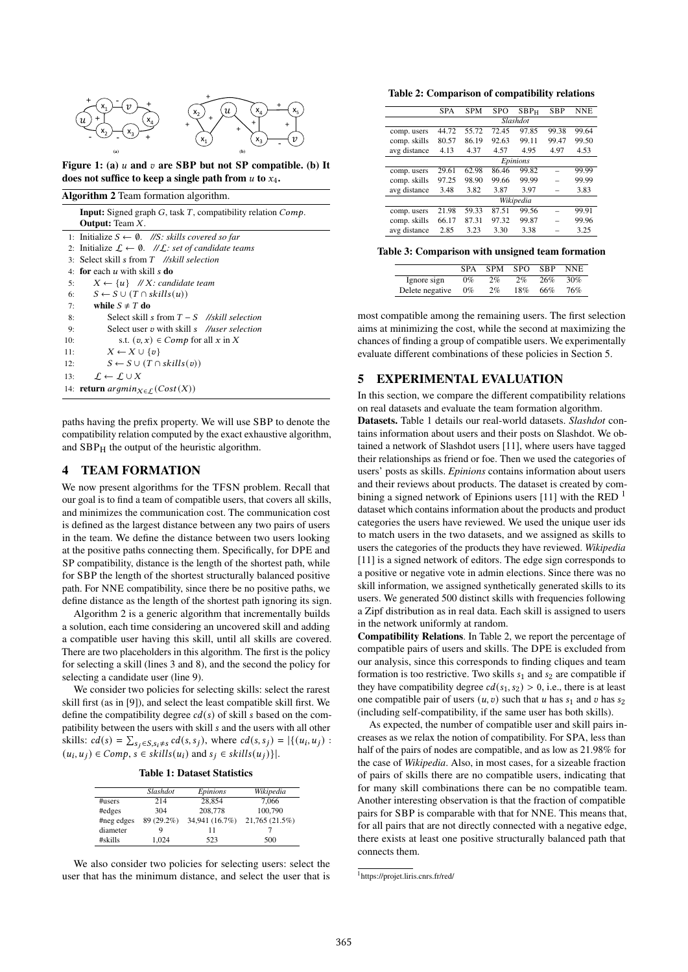

Figure 1: (a)  $u$  and  $v$  are SBP but not SP compatible. (b) It does not suffice to keep a single path from  $u$  to  $x_4$ .

 $\overline{AB}$   $\overline{AB}$   $\overline{AC}$   $\overline{AC}$   $\overline{AC}$   $\overline{AC}$   $\overline{AC}$   $\overline{AC}$   $\overline{AC}$   $\overline{AC}$   $\overline{AC}$   $\overline{AC}$   $\overline{AC}$   $\overline{AC}$   $\overline{AC}$   $\overline{AC}$   $\overline{AC}$   $\overline{AC}$   $\overline{AC}$   $\overline{AC}$   $\overline{AC}$   $\overline{AC}$   $\overline{AC}$   $\overline{AC}$   $\overline{$ 

| $\arg$ oriunin $\angle$ ream formation argorium. |                                                                                              |  |  |  |  |
|--------------------------------------------------|----------------------------------------------------------------------------------------------|--|--|--|--|
|                                                  | <b>Input:</b> Signed graph $G$ , task $T$ , compatibility relation $Comp$ .                  |  |  |  |  |
|                                                  | <b>Output:</b> Team X.                                                                       |  |  |  |  |
|                                                  | 1: Initialize $S \leftarrow \emptyset$ . //S: skills covered so far                          |  |  |  |  |
|                                                  | 2: Initialize $\mathcal{L} \leftarrow \emptyset$ . // $\mathcal{L}$ : set of candidate teams |  |  |  |  |
|                                                  | 3: Select skill s from T //skill selection                                                   |  |  |  |  |
|                                                  | 4: for each $u$ with skill s do                                                              |  |  |  |  |
| 5:                                               | $X \leftarrow \{u\}$ //X: candidate team                                                     |  |  |  |  |
| 6:                                               | $S \leftarrow S \cup (T \cap skills(u))$                                                     |  |  |  |  |
| 7:                                               | while $S \neq T$ do                                                                          |  |  |  |  |
| 8:                                               | Select skill s from $T-S$ //skill selection                                                  |  |  |  |  |
| 9:                                               | Select user v with skill <i>s</i> //user selection                                           |  |  |  |  |
| 10:                                              | s.t. $(v, x) \in Comp$ for all x in X                                                        |  |  |  |  |
| 11:                                              | $X \leftarrow X \cup \{v\}$                                                                  |  |  |  |  |
| 12:                                              | $S \leftarrow S \cup (T \cap skills(v))$                                                     |  |  |  |  |
| 13:                                              | $\mathcal{L} \leftarrow \mathcal{L} \cup X$                                                  |  |  |  |  |
|                                                  | 14: <b>return</b> $argmin_{X \in \Gamma} (Cost(X))$                                          |  |  |  |  |

paths having the prefix property. We will use SBP to denote the compatibility relation computed by the exact exhaustive algorithm, and  $SBP<sub>H</sub>$  the output of the heuristic algorithm.

## 4 TEAM FORMATION

We now present algorithms for the TFSN problem. Recall that our goal is to find a team of compatible users, that covers all skills, and minimizes the communication cost. The communication cost is defined as the largest distance between any two pairs of users in the team. We define the distance between two users looking at the positive paths connecting them. Specifically, for DPE and SP compatibility, distance is the length of the shortest path, while for SBP the length of the shortest structurally balanced positive path. For NNE compatibility, since there be no positive paths, we define distance as the length of the shortest path ignoring its sign.

Algorithm 2 is a generic algorithm that incrementally builds a solution, each time considering an uncovered skill and adding a compatible user having this skill, until all skills are covered. There are two placeholders in this algorithm. The first is the policy for selecting a skill (lines 3 and 8), and the second the policy for selecting a candidate user (line 9).

We consider two policies for selecting skills: select the rarest skill first (as in [9]), and select the least compatible skill first. We define the compatibility degree  $cd(s)$  of skill s based on the compatibility between the users with skill s and the users with all other skills:  $cd(s) = \sum_{s_j \in S, s_j \neq s} cd(s, s_j)$ , where  $cd(s, s_j) = |\{(u_i, u_j) :$  $(u_i, u_j) \in Comp, s \in skills(u_i) \text{ and } s_j \in skills(u_j)\}.$ 

| <b>Table 1: Dataset Statistics</b> |  |
|------------------------------------|--|
|------------------------------------|--|

|            | Slashdot   | Epinions       | Wikipedia      |
|------------|------------|----------------|----------------|
| $\#$ users | 214        | 28.854         | 7.066          |
| #edges     | 304        | 208,778        | 100,790        |
| #neg edges | 89 (29.2%) | 34,941 (16.7%) | 21,765 (21.5%) |
| diameter   | Q          | 11             |                |
| #skills    | 1.024      | 523            | 500            |

We also consider two policies for selecting users: select the user that has the minimum distance, and select the user that is

#### Table 2: Comparison of compatibility relations

| <b>SPA</b> | <b>SPM</b> | <b>SPO</b> | SBP <sub>H</sub> | <b>SBP</b> | <b>NNE</b> |
|------------|------------|------------|------------------|------------|------------|
| Slashdot   |            |            |                  |            |            |
| 44.72      | 55.72      | 72.45      | 97.85            | 99.38      | 99.64      |
| 80.57      | 86.19      | 92.63      | 99.11            | 99.47      | 99.50      |
| 4.13       | 4.37       | 4.57       | 4.95             | 4.97       | 4.53       |
| Epinions   |            |            |                  |            |            |
| 29.61      | 62.98      | 86.46      | 99.82            |            | 99.99      |
| 97.25      | 98.90      | 99.66      | 99.99            |            | 99.99      |
| 3.48       | 3.82       | 3.87       | 3.97             |            | 3.83       |
| Wikipedia  |            |            |                  |            |            |
| 21.98      | 59.33      | 87.51      | 99.56            |            | 99.91      |
| 66.17      | 87.31      | 97.32      | 99.87            |            | 99.96      |
| 2.85       | 3.23       | 3.30       | 3.38             |            | 3.25       |
|            |            |            |                  |            |            |

Table 3: Comparison with unsigned team formation

|                 | <b>SPA</b> | <b>SPM</b> | SPO. | SBP | <b>NNE</b> |
|-----------------|------------|------------|------|-----|------------|
| Ignore sign     | $0\%$      | 2%         | 2%   | 26% | 30%        |
| Delete negative | $0\%$      | 2%         | 18%  | 66% | 76%        |

most compatible among the remaining users. The first selection aims at minimizing the cost, while the second at maximizing the chances of finding a group of compatible users. We experimentally evaluate different combinations of these policies in Section 5.

## 5 EXPERIMENTAL EVALUATION

In this section, we compare the different compatibility relations on real datasets and evaluate the team formation algorithm.

Datasets. Table 1 details our real-world datasets. *Slashdot* contains information about users and their posts on Slashdot. We obtained a network of Slashdot users [11], where users have tagged their relationships as friend or foe. Then we used the categories of users' posts as skills. *Epinions* contains information about users and their reviews about products. The dataset is created by combining a signed network of Epinions users [11] with the RED<sup>1</sup> dataset which contains information about the products and product categories the users have reviewed. We used the unique user ids to match users in the two datasets, and we assigned as skills to users the categories of the products they have reviewed. *Wikipedia* [11] is a signed network of editors. The edge sign corresponds to a positive or negative vote in admin elections. Since there was no skill information, we assigned synthetically generated skills to its users. We generated 500 distinct skills with frequencies following a Zipf distribution as in real data. Each skill is assigned to users in the network uniformly at random.

Compatibility Relations. In Table 2, we report the percentage of compatible pairs of users and skills. The DPE is excluded from our analysis, since this corresponds to finding cliques and team formation is too restrictive. Two skills  $s_1$  and  $s_2$  are compatible if they have compatibility degree  $cd(s_1, s_2) > 0$ , i.e., there is at least one compatible pair of users  $(u, v)$  such that u has  $s_1$  and v has  $s_2$ (including self-compatibility, if the same user has both skills).

As expected, the number of compatible user and skill pairs increases as we relax the notion of compatibility. For SPA, less than half of the pairs of nodes are compatible, and as low as 21.98% for the case of *Wikipedia*. Also, in most cases, for a sizeable fraction of pairs of skills there are no compatible users, indicating that for many skill combinations there can be no compatible team. Another interesting observation is that the fraction of compatible pairs for SBP is comparable with that for NNE. This means that, for all pairs that are not directly connected with a negative edge, there exists at least one positive structurally balanced path that connects them.

<sup>1</sup> https://projet.liris.cnrs.fr/red/